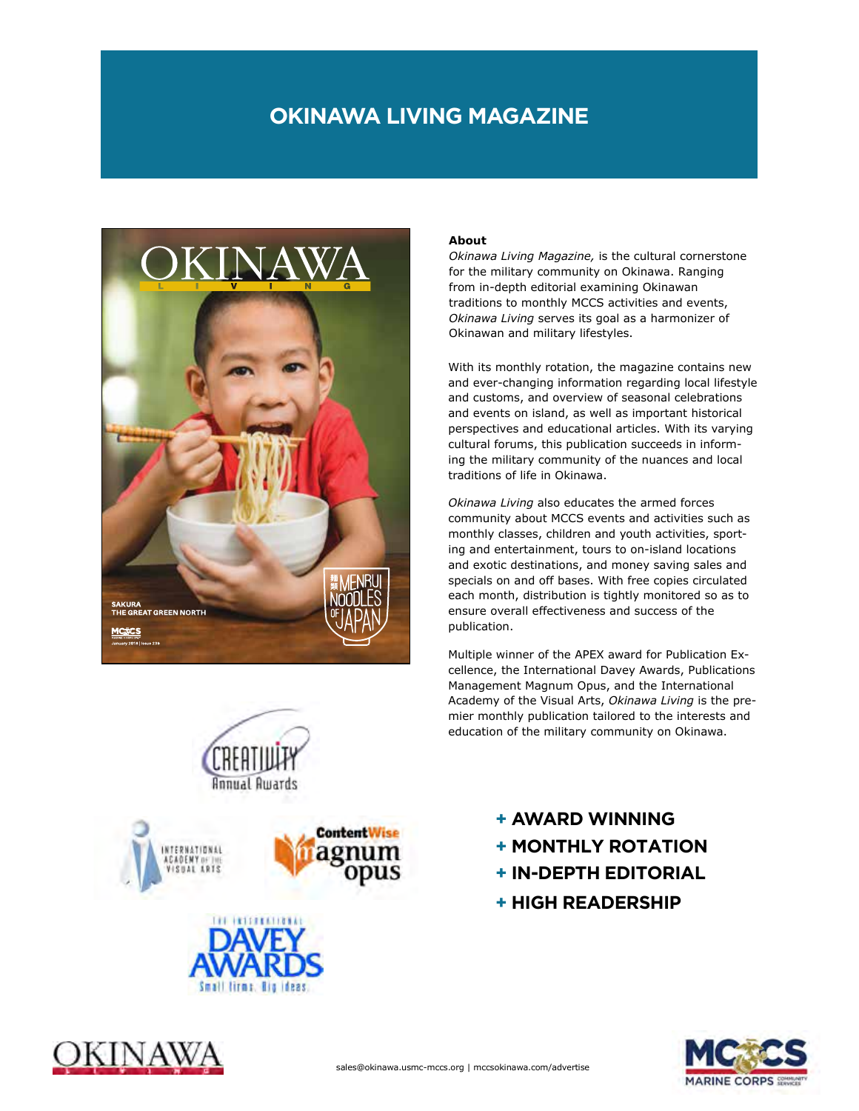## **OKINAWA LIVING MAGAZINE**



# CREATIU **Annual Awards**





ANAW

#### **About**

*Okinawa Living Magazine,* is the cultural cornerstone for the military community on Okinawa. Ranging from in-depth editorial examining Okinawan traditions to monthly MCCS activities and events, *Okinawa Living* serves its goal as a harmonizer of Okinawan and military lifestyles.

With its monthly rotation, the magazine contains new and ever-changing information regarding local lifestyle and customs, and overview of seasonal celebrations and events on island, as well as important historical perspectives and educational articles. With its varying cultural forums, this publication succeeds in informing the military community of the nuances and local traditions of life in Okinawa.

*Okinawa Living* also educates the armed forces community about MCCS events and activities such as monthly classes, children and youth activities, sporting and entertainment, tours to on-island locations and exotic destinations, and money saving sales and specials on and off bases. With free copies circulated each month, distribution is tightly monitored so as to ensure overall effectiveness and success of the publication.

Multiple winner of the APEX award for Publication Excellence, the International Davey Awards, Publications Management Magnum Opus, and the International Academy of the Visual Arts, *Okinawa Living* is the premier monthly publication tailored to the interests and education of the military community on Okinawa.

**+ AWARD WINNING**

- **+ MONTHLY ROTATION**
- **+ IN-DEPTH EDITORIAL**
- **+ HIGH READERSHIP**

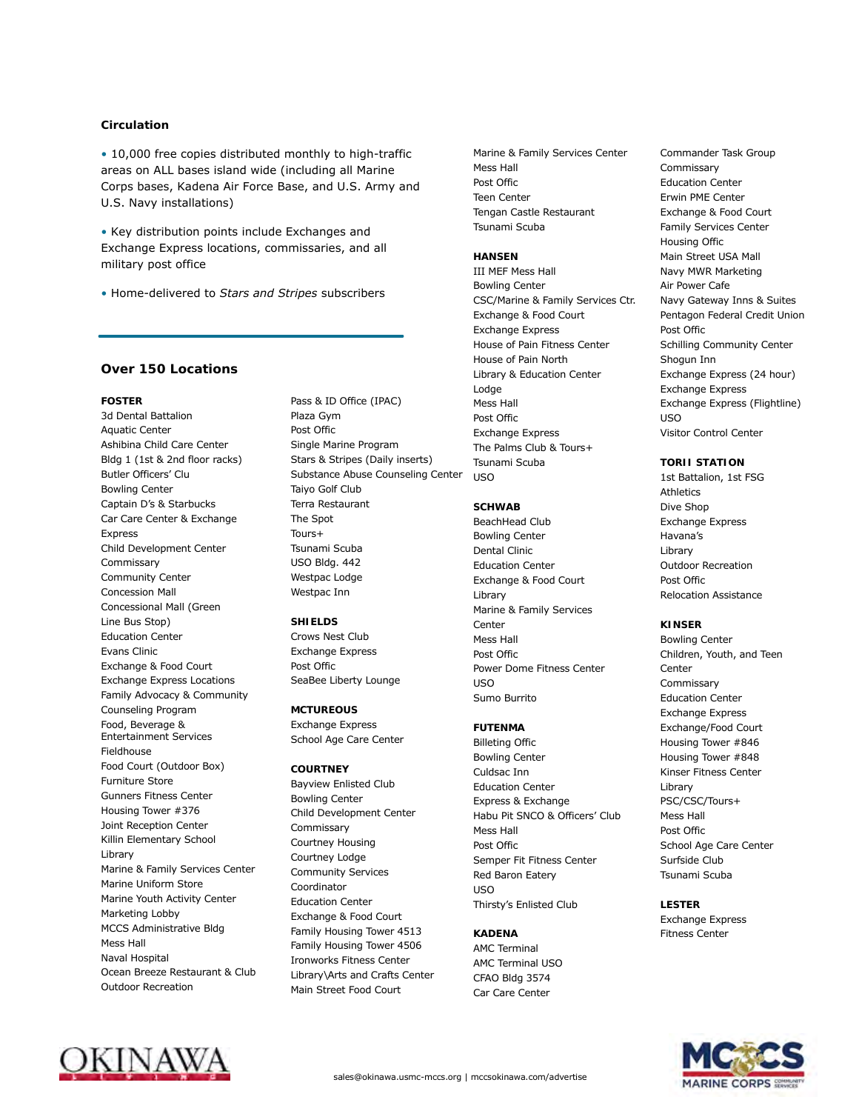#### **Circulation**

• 10,000 free copies distributed monthly to high-traffic areas on ALL bases island wide (including all Marine Corps bases, Kadena Air Force Base, and U.S. Army and U.S. Navy installations)

• Key distribution points include Exchanges and Exchange Express locations, commissaries, and all military post office

• Home-delivered to *Stars and Stripes* subscribers

#### **Over 150 Locations**

**FOSTER** 3d Dental Battalion Aquatic Center Ashibina Child Care Center Bldg 1 (1st & 2nd floor racks) Butler Officers' Clu Bowling Center Captain D's & Starbucks Car Care Center & Exchange Express Child Development Center Commissary Community Center Concession Mall Concessional Mall (Green Line Bus Stop) Education Center Evans Clinic Exchange & Food Court Exchange Express Locations Family Advocacy & Community Counseling Program Food, Beverage & Entertainment Services Fieldhouse Food Court (Outdoor Box) Furniture Store Gunners Fitness Center Housing Tower #376 Joint Reception Center Killin Elementary School Library Marine & Family Services Center Marine Uniform Store Marine Youth Activity Center Marketing Lobby MCCS Administrative Bldg Mess Hall Naval Hospital Ocean Breeze Restaurant & Club Outdoor Recreation

Pass & ID Office (IPAC) Plaza Gym Post Offic Single Marine Program Stars & Stripes (Daily inserts) Substance Abuse Counseling Center Taiyo Golf Club Terra Restaurant The Spot Tours+ Tsunami Scuba USO Bldg. 442 Westpac Lodge Westpac Inn **SHIELDS**

Crows Nest Club Exchange Express Post Offic SeaBee Liberty Lounge

**MCTUREOUS** Exchange Express School Age Care Center

**COURTNEY** Bayview Enlisted Club Bowling Center Child Development Center Commissary Courtney Housing Courtney Lodge Community Services Coordinator Education Center Exchange & Food Court Family Housing Tower 4513 Family Housing Tower 4506 Ironworks Fitness Center Library\Arts and Crafts Center Main Street Food Court

Marine & Family Services Center Mess Hall Post Offic Teen Center Tengan Castle Restaurant Tsunami Scuba

**HANSEN** III MEF Mess Hall Bowling Center CSC/Marine & Family Services Ctr. Exchange & Food Court Exchange Express House of Pain Fitness Center House of Pain North Library & Education Center Lodge Mess Hall Post Offic Exchange Express The Palms Club & Tours+ Tsunami Scuba USO

#### **SCHWAB**

BeachHead Club Bowling Center Dental Clinic Education Center Exchange & Food Court Library Marine & Family Services Center Mess Hall Post Offic Power Dome Fitness Center USO Sumo Burrito

**FUTENMA** Billeting Offic Bowling Center Culdsac Inn Education Center Express & Exchange Habu Pit SNCO & Officers' Club Mess Hall Post Offic Semper Fit Fitness Center Red Baron Eatery USO Thirsty's Enlisted Club

**KADENA** AMC Terminal AMC Terminal USO CFAO Bldg 3574 Car Care Center

Commander Task Group Commissary Education Center Erwin PME Center Exchange & Food Court Family Services Center Housing Offic Main Street USA Mall Navy MWR Marketing Air Power Cafe Navy Gateway Inns & Suites Pentagon Federal Credit Union Post Offic Schilling Community Center Shogun Inn Exchange Express (24 hour) Exchange Express Exchange Express (Flightline) USO Visitor Control Center

**TORII STATION** 1st Battalion, 1st FSG Athletics Dive Shop Exchange Express Havana's Library Outdoor Recreation Post Offic Relocation Assistance

**KINSER** Bowling Center Children, Youth, and Teen Center Commissary Education Center Exchange Express Exchange/Food Court Housing Tower #846 Housing Tower #848 Kinser Fitness Center Library PSC/CSC/Tours+ Mess Hall Post Offic School Age Care Center Surfside Club Tsunami Scuba

**LESTER** Exchange Express Fitness Center



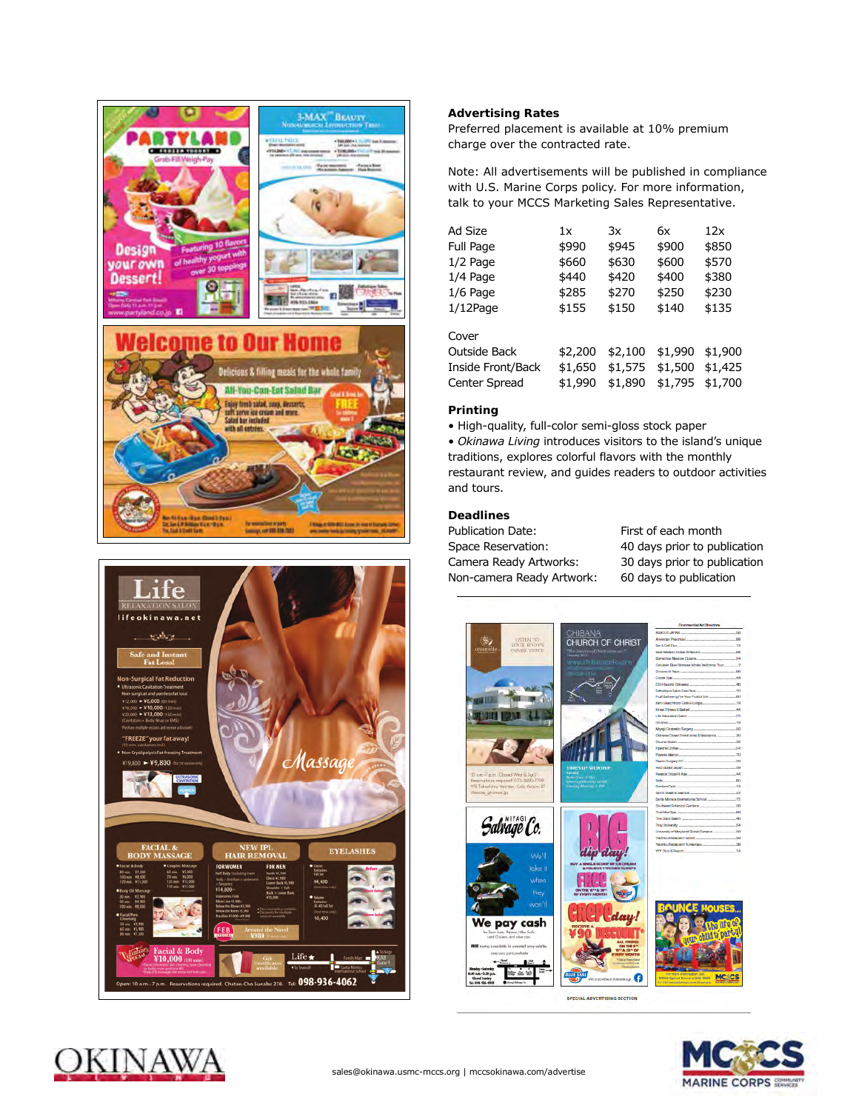



**Preferred placement is available at 10% premium**<br>
charge over the contracted rate **Advertising Rates**  charge over the contracted rate.

> Note: All advertisements will be published in compliance with U.S. Marine Corps policy. For more information, talk to your MCCS Marketing Sales Representative.

| Ad Size           | 1x      | 3x      | 6x      | 12x     |
|-------------------|---------|---------|---------|---------|
| Full Page         | \$990   | \$945   | \$900   | \$850   |
| $1/2$ Page        | \$660   | \$630   | \$600   | \$570   |
| $1/4$ Page        | \$440   | \$420   | \$400   | \$380   |
| $1/6$ Page        | \$285   | \$270   | \$250   | \$230   |
| $1/12$ Page       | \$155   | \$150   | \$140   | \$135   |
| Cover             |         |         |         |         |
| Outside Back      | \$2,200 | \$2,100 | \$1,990 | \$1,900 |
| Inside Front/Back | \$1,650 | \$1,575 | \$1,500 | \$1,425 |
| Center Spread     | \$1,990 | \$1,890 | \$1,795 | \$1,700 |

#### **Printing**

• High-quality, full-color semi-gloss stock paper

• *Okinawa Living* introduces visitors to the island's unique traditions, explores colorful flavors with the monthly restaurant review, and guides readers to outdoor activities and tours.

### **Deadlines**

Publication Date: First of each month Space Reservation: 40 days prior to publication Camera Ready Artworks: 30 days prior to publication Non-camera Ready Artwork: 60 days to publication



**SPECIAL ADVERTISING SECTION**